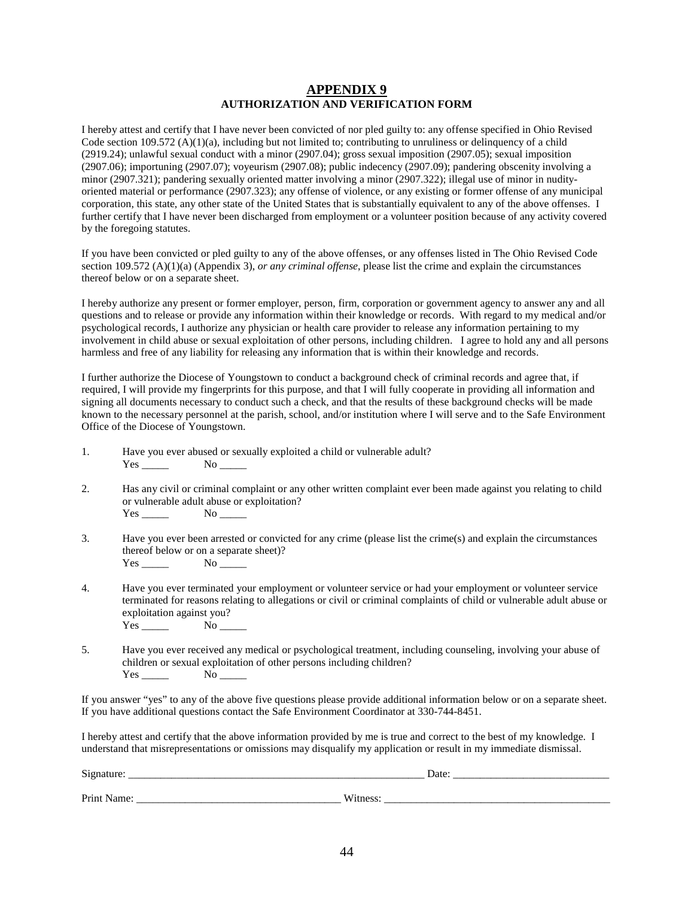## **APPENDIX 9 AUTHORIZATION AND VERIFICATION FORM**

I hereby attest and certify that I have never been convicted of nor pled guilty to: any offense specified in Ohio Revised Code section 109.572 (A)(1)(a), including but not limited to; contributing to unruliness or delinquency of a child (2919.24); unlawful sexual conduct with a minor (2907.04); gross sexual imposition (2907.05); sexual imposition (2907.06); importuning (2907.07); voyeurism (2907.08); public indecency (2907.09); pandering obscenity involving a minor (2907.321); pandering sexually oriented matter involving a minor (2907.322); illegal use of minor in nudityoriented material or performance (2907.323); any offense of violence, or any existing or former offense of any municipal corporation, this state, any other state of the United States that is substantially equivalent to any of the above offenses. I further certify that I have never been discharged from employment or a volunteer position because of any activity covered by the foregoing statutes.

If you have been convicted or pled guilty to any of the above offenses, or any offenses listed in The Ohio Revised Code section 109.572 (A)(1)(a) (Appendix 3), *or any criminal offense*, please list the crime and explain the circumstances thereof below or on a separate sheet.

I hereby authorize any present or former employer, person, firm, corporation or government agency to answer any and all questions and to release or provide any information within their knowledge or records. With regard to my medical and/or psychological records, I authorize any physician or health care provider to release any information pertaining to my involvement in child abuse or sexual exploitation of other persons, including children. I agree to hold any and all persons harmless and free of any liability for releasing any information that is within their knowledge and records.

I further authorize the Diocese of Youngstown to conduct a background check of criminal records and agree that, if required, I will provide my fingerprints for this purpose, and that I will fully cooperate in providing all information and signing all documents necessary to conduct such a check, and that the results of these background checks will be made known to the necessary personnel at the parish, school, and/or institution where I will serve and to the Safe Environment Office of the Diocese of Youngstown.

- 1. Have you ever abused or sexually exploited a child or vulnerable adult? Yes No No
- 2. Has any civil or criminal complaint or any other written complaint ever been made against you relating to child or vulnerable adult abuse or exploitation?<br>Yes No Yes  $\overline{X}$
- 3. Have you ever been arrested or convicted for any crime (please list the crime(s) and explain the circumstances thereof below or on a separate sheet)? Yes No
- 4. Have you ever terminated your employment or volunteer service or had your employment or volunteer service terminated for reasons relating to allegations or civil or criminal complaints of child or vulnerable adult abuse or exploitation against you?  $Yes \t No \t$
- 5. Have you ever received any medical or psychological treatment, including counseling, involving your abuse of children or sexual exploitation of other persons including children?  $Yes \_\_\_\_\_\\$  No  $\_\_\_\_\_\$

If you answer "yes" to any of the above five questions please provide additional information below or on a separate sheet. If you have additional questions contact the Safe Environment Coordinator at 330-744-8451.

I hereby attest and certify that the above information provided by me is true and correct to the best of my knowledge. I understand that misrepresentations or omissions may disqualify my application or result in my immediate dismissal.

Signature: \_\_\_\_\_\_\_\_\_\_\_\_\_\_\_\_\_\_\_\_\_\_\_\_\_\_\_\_\_\_\_\_\_\_\_\_\_\_\_\_\_\_\_\_\_\_\_\_\_\_\_\_\_\_\_ Date: \_\_\_\_\_\_\_\_\_\_\_\_\_\_\_\_\_\_\_\_\_\_\_\_\_\_\_\_\_ Print Name: \_\_\_\_\_\_\_\_\_\_\_\_\_\_\_\_\_\_\_\_\_\_\_\_\_\_\_\_\_\_\_\_\_\_\_\_\_\_ Witness: \_\_\_\_\_\_\_\_\_\_\_\_\_\_\_\_\_\_\_\_\_\_\_\_\_\_\_\_\_\_\_\_\_\_\_\_\_\_\_\_\_\_